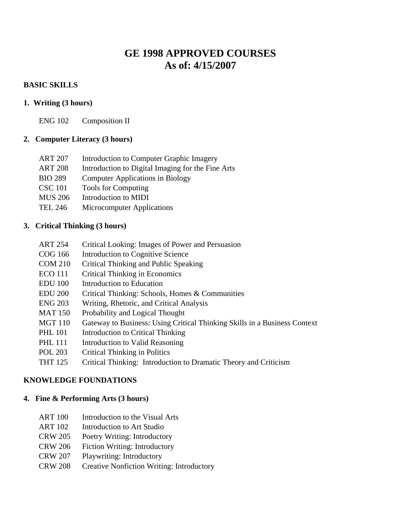# **GE 1998 APPROVED COURSES As of: 4/15/2007**

### **BASIC SKILLS**

### **1. Writing (3 hours)**

ENG 102 Composition II

### **2. Computer Literacy (3 hours)**

| ART 207 | Introduction to Computer Graphic Imagery |  |  |
|---------|------------------------------------------|--|--|
|         |                                          |  |  |

- ART 208 Introduction to Digital Imaging for the Fine Arts
- BIO 289 Computer Applications in Biology
- CSC 101 Tools for Computing
- MUS 206 Introduction to MIDI
- TEL 246 Microcomputer Applications

## **3. Critical Thinking (3 hours)**

- ART 254 Critical Looking: Images of Power and Persuasion
- COG 166 Introduction to Cognitive Science
- COM 210 Critical Thinking and Public Speaking
- ECO 111 Critical Thinking in Economics
- EDU 100 Introduction to Education
- EDU 200 Critical Thinking: Schools, Homes & Communities
- ENG 203 Writing, Rhetoric, and Critical Analysis
- MAT 150 Probability and Logical Thought
- MGT 110 Gateway to Business: Using Critical Thinking Skills in a Business Context
- PHL 101 Introduction to Critical Thinking
- PHL 111 Introduction to Valid Reasoning
- POL 203 Critical Thinking in Politics
- THT 125 Critical Thinking: Introduction to Dramatic Theory and Criticism

### **KNOWLEDGE FOUNDATIONS**

### **4. Fine & Performing Arts (3 hours)**

- ART 100 Introduction to the Visual Arts
- ART 102 Introduction to Art Studio
- CRW 205 Poetry Writing: Introductory
- CRW 206 Fiction Writing: Introductory
- CRW 207 Playwriting: Introductory
- CRW 208 Creative Nonfiction Writing: Introductory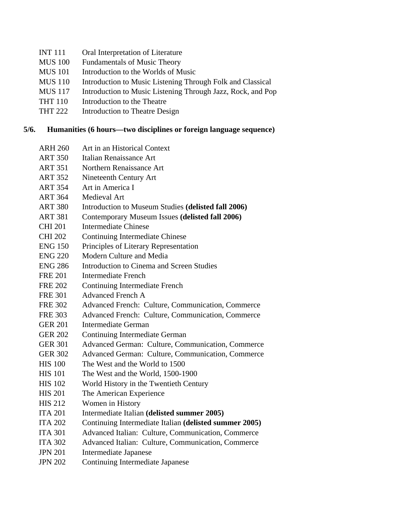- INT 111 Oral Interpretation of Literature
- MUS 100 Fundamentals of Music Theory
- MUS 101 Introduction to the Worlds of Music
- MUS 110 Introduction to Music Listening Through Folk and Classical
- MUS 117 Introduction to Music Listening Through Jazz, Rock, and Pop
- THT 110 Introduction to the Theatre
- THT 222 Introduction to Theatre Design

#### **5/6. Humanities (6 hours—two disciplines or foreign language sequence)**

- ARH 260 Art in an Historical Context
- ART 350 Italian Renaissance Art
- ART 351 Northern Renaissance Art
- ART 352 Nineteenth Century Art
- ART 354 Art in America I
- ART 364 Medieval Art
- ART 380 Introduction to Museum Studies **(delisted fall 2006)**
- ART 381 Contemporary Museum Issues **(delisted fall 2006)**
- CHI 201 Intermediate Chinese
- CHI 202 Continuing Intermediate Chinese
- ENG 150 Principles of Literary Representation
- ENG 220 Modern Culture and Media
- ENG 286 Introduction to Cinema and Screen Studies
- FRE 201 Intermediate French
- FRE 202 Continuing Intermediate French
- FRE 301 Advanced French A
- FRE 302 Advanced French: Culture, Communication, Commerce
- FRE 303 Advanced French: Culture, Communication, Commerce
- GER 201 Intermediate German
- GER 202 Continuing Intermediate German
- GER 301 Advanced German: Culture, Communication, Commerce
- GER 302 Advanced German: Culture, Communication, Commerce
- HIS 100 The West and the World to 1500
- HIS 101 The West and the World, 1500-1900
- HIS 102 World History in the Twentieth Century
- HIS 201 The American Experience
- HIS 212 Women in History
- ITA 201 Intermediate Italian **(delisted summer 2005)**
- ITA 202 Continuing Intermediate Italian **(delisted summer 2005)**
- ITA 301 Advanced Italian: Culture, Communication, Commerce
- ITA 302 Advanced Italian: Culture, Communication, Commerce
- JPN 201 Intermediate Japanese
- JPN 202 Continuing Intermediate Japanese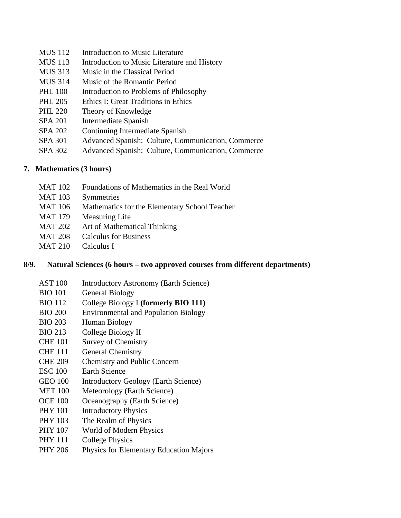- MUS 112 Introduction to Music Literature
- MUS 113 Introduction to Music Literature and History
- MUS 313 Music in the Classical Period
- MUS 314 Music of the Romantic Period
- PHL 100 Introduction to Problems of Philosophy
- PHL 205 Ethics I: Great Traditions in Ethics
- PHL 220 Theory of Knowledge
- SPA 201 Intermediate Spanish
- SPA 202 Continuing Intermediate Spanish
- SPA 301 Advanced Spanish: Culture, Communication, Commerce
- SPA 302 Advanced Spanish: Culture, Communication, Commerce

### **7. Mathematics (3 hours)**

- MAT 102 Foundations of Mathematics in the Real World
- MAT 103 Symmetries
- MAT 106 Mathematics for the Elementary School Teacher
- MAT 179 Measuring Life
- MAT 202 Art of Mathematical Thinking
- MAT 208 Calculus for Business
- MAT 210 Calculus I

### **8/9. Natural Sciences (6 hours – two approved courses from different departments)**

- AST 100 Introductory Astronomy (Earth Science)
- BIO 101 General Biology
- BIO 112 College Biology I **(formerly BIO 111)**
- BIO 200 Environmental and Population Biology
- BIO 203 Human Biology
- BIO 213 College Biology II
- CHE 101 Survey of Chemistry
- CHE 111 General Chemistry
- CHE 209 Chemistry and Public Concern
- ESC 100 Earth Science
- GEO 100 Introductory Geology (Earth Science)
- MET 100 Meteorology (Earth Science)
- OCE 100 Oceanography (Earth Science)
- PHY 101 Introductory Physics
- PHY 103 The Realm of Physics
- PHY 107 World of Modern Physics
- PHY 111 College Physics
- PHY 206 Physics for Elementary Education Majors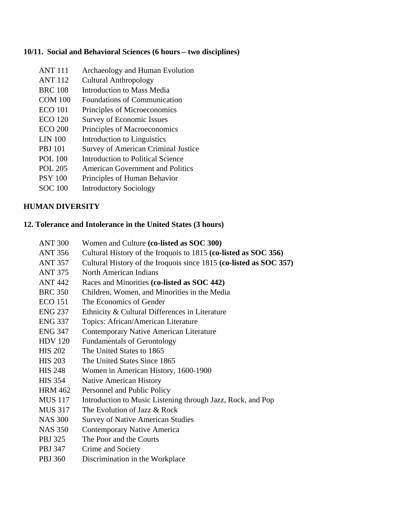#### **10/11. Social and Behavioral Sciences (6 hours – two disciplines)**

- ANT 111 Archaeology and Human Evolution
- ANT 112 Cultural Anthropology
- BRC 108 Introduction to Mass Media
- COM 100 Foundations of Communication
- ECO 101 Principles of Microeconomics
- ECO 120 Survey of Economic Issues
- ECO 200 Principles of Macroeconomics
- LIN 100 Introduction to Linguistics
- PBJ 101 Survey of American Criminal Justice
- POL 100 Introduction to Political Science
- POL 205 American Government and Politics
- PSY 100 Principles of Human Behavior
- SOC 100 Introductory Sociology

## **HUMAN DIVERSITY**

### **12. Tolerance and Intolerance in the United States (3 hours)**

- ANT 300 Women and Culture **(co-listed as SOC 300)**
- ANT 356 Cultural History of the Iroquois to 1815 **(co-listed as SOC 356)**
- ANT 357 Cultural History of the Iroquois since 1815 **(co-listed as SOC 357)**
- ANT 375 North American Indians
- ANT 442 Races and Minorities **(co-listed as SOC 442)**
- BRC 350 Children, Women, and Minorities in the Media
- ECO 151 The Economics of Gender
- ENG 237 Ethnicity & Cultural Differences in Literature
- ENG 337 Topics: African/American Literature
- ENG 347 Contemporary Native American Literature
- HDV 120 Fundamentals of Gerontology
- HIS 202 The United States to 1865
- HIS 203 The United States Since 1865
- HIS 248 Women in American History, 1600-1900
- HIS 354 Native American History
- HRM 462 Personnel and Public Policy
- MUS 117 Introduction to Music Listening through Jazz, Rock, and Pop
- MUS 317 The Evolution of Jazz & Rock
- NAS 300 Survey of Native American Studies
- NAS 350 Contemporary Native America
- PBJ 325 The Poor and the Courts
- PBJ 347 Crime and Society
- PBJ 360 Discrimination in the Workplace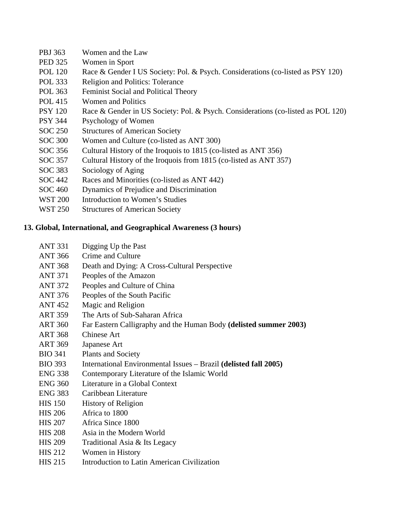- PBJ 363 Women and the Law
- PED 325 Women in Sport
- POL 120 Race & Gender I US Society: Pol. & Psych. Considerations (co-listed as PSY 120)
- POL 333 Religion and Politics: Tolerance
- POL 363 Feminist Social and Political Theory
- POL 415 Women and Politics
- PSY 120 Race & Gender in US Society: Pol. & Psych. Considerations (co-listed as POL 120)
- PSY 344 Psychology of Women
- SOC 250 Structures of American Society
- SOC 300 Women and Culture (co-listed as ANT 300)
- SOC 356 Cultural History of the Iroquois to 1815 (co-listed as ANT 356)
- SOC 357 Cultural History of the Iroquois from 1815 (co-listed as ANT 357)
- SOC 383 Sociology of Aging
- SOC 442 Races and Minorities (co-listed as ANT 442)
- SOC 460 Dynamics of Prejudice and Discrimination
- WST 200 Introduction to Women's Studies
- WST 250 Structures of American Society

# **13. Global, International, and Geographical Awareness (3 hours)**

- ANT 331 Digging Up the Past
- ANT 366 Crime and Culture
- ANT 368 Death and Dying: A Cross-Cultural Perspective
- ANT 371 Peoples of the Amazon
- ANT 372 Peoples and Culture of China
- ANT 376 Peoples of the South Pacific
- ANT 452 Magic and Religion
- ART 359 The Arts of Sub-Saharan Africa
- ART 360 Far Eastern Calligraphy and the Human Body **(delisted summer 2003)**
- ART 368 Chinese Art
- ART 369 Japanese Art
- BIO 341 Plants and Society
- BIO 393 International Environmental Issues Brazil **(delisted fall 2005)**
- ENG 338 Contemporary Literature of the Islamic World
- ENG 360 Literature in a Global Context
- ENG 383 Caribbean Literature
- HIS 150 History of Religion
- HIS 206 Africa to 1800
- HIS 207 Africa Since 1800
- HIS 208 Asia in the Modern World
- HIS 209 Traditional Asia & Its Legacy
- HIS 212 Women in History
- HIS 215 Introduction to Latin American Civilization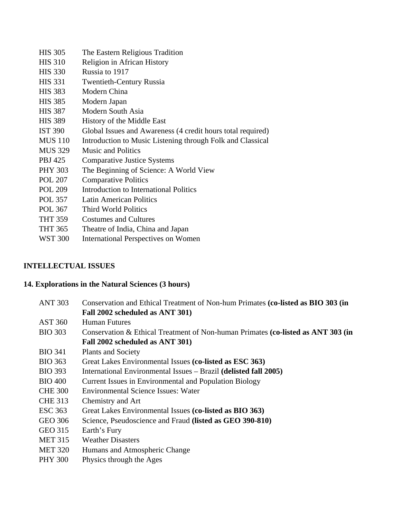| <b>HIS 305</b>    | The Eastern Religious Tradition                             |
|-------------------|-------------------------------------------------------------|
| <b>HIS 310</b>    | Religion in African History                                 |
| <b>HIS 330</b>    | Russia to 1917                                              |
| <b>HIS 331</b>    | <b>Twentieth-Century Russia</b>                             |
| <b>HIS 383</b>    | Modern China                                                |
| <b>HIS 385</b>    | Modern Japan                                                |
| <b>HIS 387</b>    | Modern South Asia                                           |
| <b>HIS 389</b>    | History of the Middle East                                  |
| <b>IST 390</b>    | Global Issues and Awareness (4 credit hours total required) |
| <b>MUS</b> 110    | Introduction to Music Listening through Folk and Classical  |
| <b>MUS 329</b>    | <b>Music and Politics</b>                                   |
| PBJ 425           | <b>Comparative Justice Systems</b>                          |
| <b>PHY 303</b>    | The Beginning of Science: A World View                      |
| <b>POL 207</b>    | <b>Comparative Politics</b>                                 |
| <b>POL 209</b>    | Introduction to International Politics                      |
| <b>POL 357</b>    | <b>Latin American Politics</b>                              |
| <b>POL 367</b>    | Third World Politics                                        |
| <b>THT 359</b>    | <b>Costumes and Cultures</b>                                |
| <b>THT 365</b>    | Theatre of India, China and Japan                           |
| ,,,, <del>,</del> |                                                             |

# WST 300 International Perspectives on Women

# **INTELLECTUAL ISSUES**

# **14. Explorations in the Natural Sciences (3 hours)**

| <b>ANT 303</b> | Conservation and Ethical Treatment of Non-hum Primates (co-listed as BIO 303 (in<br>Fall 2002 scheduled as ANT 301) |
|----------------|---------------------------------------------------------------------------------------------------------------------|
| <b>AST 360</b> | <b>Human Futures</b>                                                                                                |
| <b>BIO 303</b> | Conservation & Ethical Treatment of Non-human Primates (co-listed as ANT 303 (in                                    |
|                | Fall 2002 scheduled as ANT 301)                                                                                     |
| <b>BIO 341</b> | <b>Plants and Society</b>                                                                                           |
| <b>BIO 363</b> | Great Lakes Environmental Issues (co-listed as ESC 363)                                                             |
| <b>BIO 393</b> | International Environmental Issues – Brazil (delisted fall 2005)                                                    |
| <b>BIO 400</b> | Current Issues in Environmental and Population Biology                                                              |
| <b>CHE 300</b> | <b>Environmental Science Issues: Water</b>                                                                          |
| <b>CHE 313</b> | Chemistry and Art                                                                                                   |
| <b>ESC 363</b> | Great Lakes Environmental Issues (co-listed as BIO 363)                                                             |
| <b>GEO 306</b> | Science, Pseudoscience and Fraud (listed as GEO 390-810)                                                            |
| GEO 315        | Earth's Fury                                                                                                        |
| <b>MET 315</b> | <b>Weather Disasters</b>                                                                                            |
| <b>MET 320</b> | Humans and Atmospheric Change                                                                                       |
| <b>PHY 300</b> | Physics through the Ages                                                                                            |
|                |                                                                                                                     |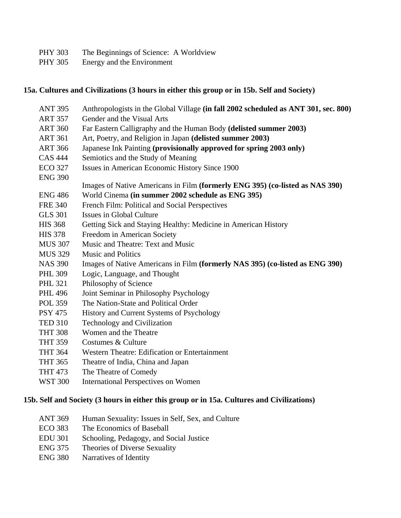- PHY 303 The Beginnings of Science: A Worldview
- PHY 305 Energy and the Environment

#### **15a. Cultures and Civilizations (3 hours in either this group or in 15b. Self and Society)**

| <b>ANT 395</b> | Anthropologists in the Global Village (in fall 2002 scheduled as ANT 301, sec. 800) |
|----------------|-------------------------------------------------------------------------------------|
| <b>ART 357</b> | Gender and the Visual Arts                                                          |
| <b>ART 360</b> | Far Eastern Calligraphy and the Human Body (delisted summer 2003)                   |
| <b>ART 361</b> | Art, Poetry, and Religion in Japan (delisted summer 2003)                           |
| <b>ART 366</b> | Japanese Ink Painting (provisionally approved for spring 2003 only)                 |
| <b>CAS 444</b> | Semiotics and the Study of Meaning                                                  |
| <b>ECO 327</b> | Issues in American Economic History Since 1900                                      |
| <b>ENG 390</b> |                                                                                     |
|                | Images of Native Americans in Film (formerly ENG 395) (co-listed as NAS 390)        |
| <b>ENG 486</b> | World Cinema (in summer 2002 schedule as ENG 395)                                   |
| <b>FRE 340</b> | French Film: Political and Social Perspectives                                      |
| <b>GLS 301</b> | Issues in Global Culture                                                            |
| <b>HIS 368</b> | Getting Sick and Staying Healthy: Medicine in American History                      |
| <b>HIS 378</b> | Freedom in American Society                                                         |
| <b>MUS 307</b> | Music and Theatre: Text and Music                                                   |
| <b>MUS 329</b> | <b>Music and Politics</b>                                                           |
| <b>NAS 390</b> | Images of Native Americans in Film (formerly NAS 395) (co-listed as ENG 390)        |
| <b>PHL 309</b> | Logic, Language, and Thought                                                        |
| <b>PHL 321</b> | Philosophy of Science                                                               |
| <b>PHL 496</b> | Joint Seminar in Philosophy Psychology                                              |
| <b>POL 359</b> | The Nation-State and Political Order                                                |
| <b>PSY 475</b> | History and Current Systems of Psychology                                           |
| <b>TED 310</b> | <b>Technology and Civilization</b>                                                  |
| <b>THT 308</b> | Women and the Theatre                                                               |
| <b>THT 359</b> | Costumes & Culture                                                                  |
| <b>THT 364</b> | Western Theatre: Edification or Entertainment                                       |
| <b>THT 365</b> | Theatre of India, China and Japan                                                   |
| <b>THT 473</b> | The Theatre of Comedy                                                               |
| <b>WST 300</b> | <b>International Perspectives on Women</b>                                          |
|                |                                                                                     |

## **15b. Self and Society (3 hours in either this group or in 15a. Cultures and Civilizations)**

- ANT 369 Human Sexuality: Issues in Self, Sex, and Culture
- ECO 383 The Economics of Baseball
- EDU 301 Schooling, Pedagogy, and Social Justice
- ENG 375 Theories of Diverse Sexuality
- ENG 380 Narratives of Identity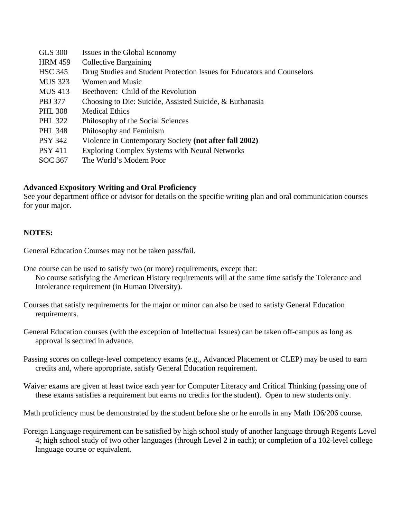| <b>GLS</b> 300 | Issues in the Global Economy                                            |
|----------------|-------------------------------------------------------------------------|
| <b>HRM 459</b> | <b>Collective Bargaining</b>                                            |
| <b>HSC 345</b> | Drug Studies and Student Protection Issues for Educators and Counselors |
| <b>MUS 323</b> | Women and Music                                                         |
| <b>MUS 413</b> | Beethoven: Child of the Revolution                                      |
| <b>PBJ</b> 377 | Choosing to Die: Suicide, Assisted Suicide, & Euthanasia                |
| <b>PHL 308</b> | <b>Medical Ethics</b>                                                   |
| <b>PHL 322</b> | Philosophy of the Social Sciences                                       |
| <b>PHL 348</b> | Philosophy and Feminism                                                 |
| <b>PSY 342</b> | Violence in Contemporary Society (not after fall 2002)                  |
| <b>PSY 411</b> | <b>Exploring Complex Systems with Neural Networks</b>                   |
| SOC 367        | The World's Modern Poor                                                 |

#### **Advanced Expository Writing and Oral Proficiency**

See your department office or advisor for details on the specific writing plan and oral communication courses for your major.

#### **NOTES:**

General Education Courses may not be taken pass/fail.

One course can be used to satisfy two (or more) requirements, except that:

 No course satisfying the American History requirements will at the same time satisfy the Tolerance and Intolerance requirement (in Human Diversity).

Courses that satisfy requirements for the major or minor can also be used to satisfy General Education requirements.

General Education courses (with the exception of Intellectual Issues) can be taken off-campus as long as approval is secured in advance.

Passing scores on college-level competency exams (e.g., Advanced Placement or CLEP) may be used to earn credits and, where appropriate, satisfy General Education requirement.

Waiver exams are given at least twice each year for Computer Literacy and Critical Thinking (passing one of these exams satisfies a requirement but earns no credits for the student). Open to new students only.

Math proficiency must be demonstrated by the student before she or he enrolls in any Math 106/206 course.

Foreign Language requirement can be satisfied by high school study of another language through Regents Level 4; high school study of two other languages (through Level 2 in each); or completion of a 102-level college language course or equivalent.